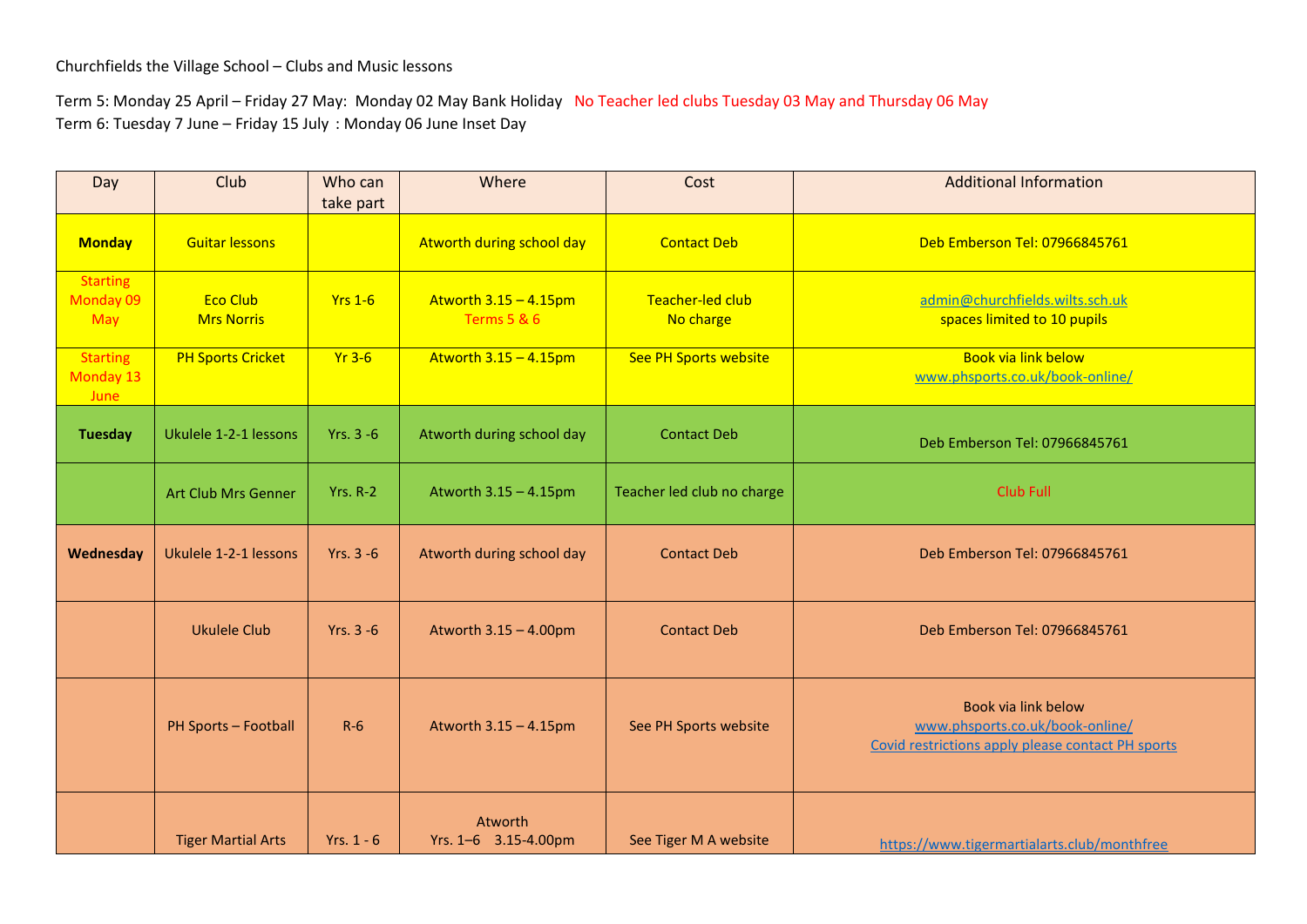Term 5: Monday 25 April – Friday 27 May: Monday 02 May Bank Holiday No Teacher led clubs Tuesday 03 May and Thursday 06 May Term 6: Tuesday 7 June – Friday 15 July : Monday 06 June Inset Day

| Day                                  | Club                                 | Who can<br>take part | Where                                              | Cost                          | <b>Additional Information</b>                                                                               |
|--------------------------------------|--------------------------------------|----------------------|----------------------------------------------------|-------------------------------|-------------------------------------------------------------------------------------------------------------|
| <b>Monday</b>                        | <b>Guitar lessons</b>                |                      | Atworth during school day                          | <b>Contact Deb</b>            | Deb Emberson Tel: 07966845761                                                                               |
| <b>Starting</b><br>Monday 09<br>May  | <b>Eco Club</b><br><b>Mrs Norris</b> | <b>Yrs 1-6</b>       | Atworth $3.15 - 4.15$ pm<br><b>Terms 5 &amp; 6</b> | Teacher-led club<br>No charge | admin@churchfields.wilts.sch.uk<br>spaces limited to 10 pupils                                              |
| <b>Starting</b><br>Monday 13<br>June | <b>PH Sports Cricket</b>             | $Yr$ 3-6             | Atworth $3.15 - 4.15$ pm                           | See PH Sports website         | Book via link below<br>www.phsports.co.uk/book-online/                                                      |
| <b>Tuesday</b>                       | Ukulele 1-2-1 lessons                | Yrs. 3 -6            | Atworth during school day                          | <b>Contact Deb</b>            | Deb Emberson Tel: 07966845761                                                                               |
|                                      | <b>Art Club Mrs Genner</b>           | $Yrs. R-2$           | Atworth 3.15 - 4.15pm                              | Teacher led club no charge    | Club Full                                                                                                   |
| Wednesday                            | Ukulele 1-2-1 lessons                | Yrs. $3 - 6$         | Atworth during school day                          | <b>Contact Deb</b>            | Deb Emberson Tel: 07966845761                                                                               |
|                                      | <b>Ukulele Club</b>                  | Yrs. $3 - 6$         | Atworth 3.15 - 4.00pm                              | <b>Contact Deb</b>            | Deb Emberson Tel: 07966845761                                                                               |
|                                      | PH Sports - Football                 | $R-6$                | Atworth 3.15 - 4.15pm                              | See PH Sports website         | Book via link below<br>www.phsports.co.uk/book-online/<br>Covid restrictions apply please contact PH sports |
|                                      | <b>Tiger Martial Arts</b>            | Yrs. $1 - 6$         | Atworth<br>Yrs. 1-6 3.15-4.00pm                    | See Tiger M A website         | https://www.tigermartialarts.club/monthfree                                                                 |